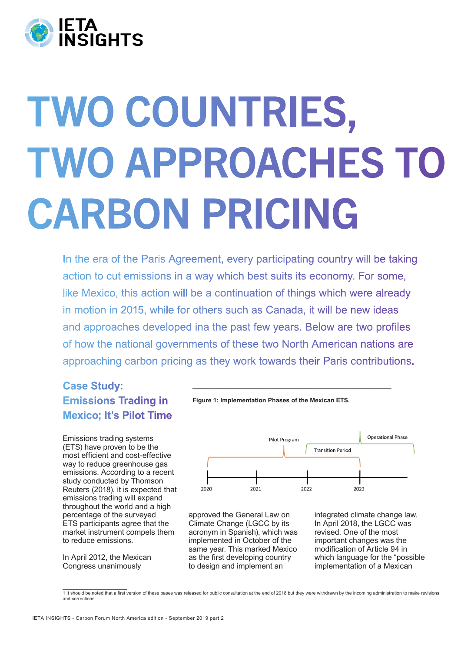

# TWO COUNTRIES, TWO APPROACHES TO CARBON PRICING

In the era of the Paris Agreement, every participating country will be taking action to cut emissions in a way which best suits its economy. For some, like Mexico, this action will be a continuation of things which were already in motion in 2015, while for others such as Canada, it will be new ideas and approaches developed ina the past few years. Below are two profiles of how the national governments of these two North American nations are approaching carbon pricing as they work towards their Paris contributions.

# **Case Study: Emissions Trading in Mexico; It's Pilot Time**

Emissions trading systems (ETS) have proven to be the most efficient and cost-effective way to reduce greenhouse gas emissions. According to a recent study conducted by Thomson Reuters (2018), it is expected that emissions trading will expand throughout the world and a high percentage of the surveyed ETS participants agree that the market instrument compels them to reduce emissions.

In April 2012, the Mexican Congress unanimously



**\_\_\_\_\_\_\_\_\_\_\_\_\_\_\_\_\_\_\_\_\_\_\_\_\_\_\_\_\_\_\_\_\_\_\_\_\_\_\_\_\_\_**



approved the General Law on Climate Change (LGCC by its acronym in Spanish), which was implemented in October of the same year. This marked Mexico as the first developing country to design and implement an

integrated climate change law. In April 2018, the LGCC was revised. One of the most important changes was the modification of Article 94 in which language for the "possible implementation of a Mexican

**\_\_\_\_\_\_\_\_\_\_\_\_\_\_\_\_\_\_\_\_\_\_\_\_\_** 1 It should be noted that a first version of these bases was released for public consultation at the end of 2018 but they were withdrawn by the incoming administration to make revisions and correction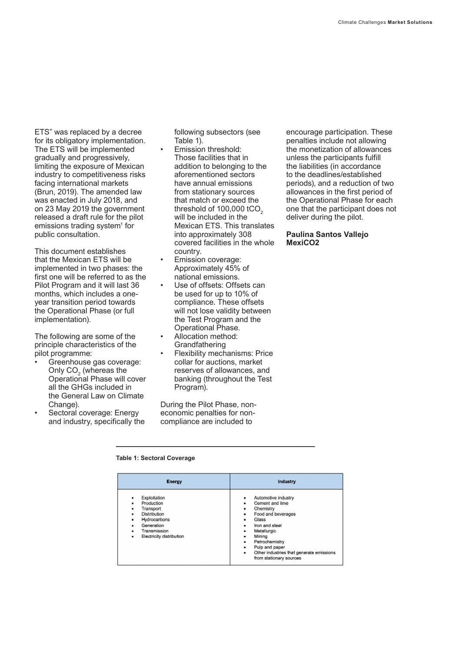ETS" was replaced by a decree for its obligatory implementation. The ETS will be implemented gradually and progressively, limiting the exposure of Mexican industry to competitiveness risks facing international markets (Brun, 2019). The amended law was enacted in July 2018, and on 23 May 2019 the government released a draft rule for the pilot emissions trading system<sup>1</sup> for public consultation.

This document establishes that the Mexican ETS will be implemented in two phases: the first one will be referred to as the Pilot Program and it will last 36 months, which includes a oneyear transition period towards the Operational Phase (or full implementation).

The following are some of the principle characteristics of the pilot programme:

- Greenhouse gas coverage: Only  $CO<sub>2</sub>$  (whereas the Operational Phase will cover all the GHGs included in the General Law on Climate Change).
- Sectoral coverage: Energy and industry, specifically the

following subsectors (see Table 1).

- Emission threshold: Those facilities that in addition to belonging to the aforementioned sectors have annual emissions from stationary sources that match or exceed the threshold of  $100,000$  tCO<sub>2</sub> will be included in the Mexican ETS. This translates into approximately 308 covered facilities in the whole country.
- Emission coverage: Approximately 45% of national emissions.
- Use of offsets: Offsets can be used for up to 10% of compliance. These offsets will not lose validity between the Test Program and the Operational Phase.
- Allocation method: **Grandfathering**
- Flexibility mechanisms: Price collar for auctions, market reserves of allowances, and banking (throughout the Test Program).

During the Pilot Phase, noneconomic penalties for noncompliance are included to

**\_\_\_\_\_\_\_\_\_\_\_\_\_\_\_\_\_\_\_\_\_\_\_\_\_\_\_\_\_\_\_\_\_\_\_\_\_\_\_\_\_\_**

encourage participation. These penalties include not allowing the monetization of allowances unless the participants fulfill the liabilities (in accordance to the deadlines/established periods), and a reduction of two allowances in the first period of the Operational Phase for each one that the participant does not deliver during the pilot.

## **Paulina Santos Vallejo MexiCO2**

**Table 1: Sectoral Coverage** 

| Energy                                                                                                                                                                           | Industry                                                                                                                                                                                                                                                                                        |
|----------------------------------------------------------------------------------------------------------------------------------------------------------------------------------|-------------------------------------------------------------------------------------------------------------------------------------------------------------------------------------------------------------------------------------------------------------------------------------------------|
| Exploitation<br>٠<br>Production<br>٠<br>Transport<br>٠<br><b>Distribution</b><br>٠<br>Hydrocarbons<br>٠<br>Generation<br>٠<br>Transmission<br>٠<br>Electricity distribution<br>٠ | Automotive industry<br>٠<br>Cement and lime<br>٠<br>Chemistry<br>٠<br>Food and beverages<br>٠<br>Glass<br>٠<br>Iron and steel<br>۰<br>Metallurgic<br>٠<br>Mining<br>٠<br>Petrochemistry<br>٠<br>Pulp and paper<br>٠<br>Other industries that generate emissions<br>٠<br>from stationary sources |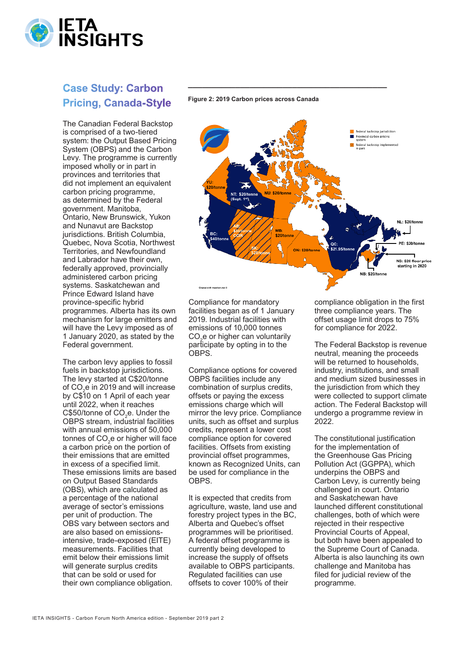

## **Case Study: Carbon Pricing, Canada-Style**

The Canadian Federal Backstop is comprised of a two-tiered system: the Output Based Pricing System (OBPS) and the Carbon Levy. The programme is currently imposed wholly or in part in provinces and territories that did not implement an equivalent carbon pricing programme, as determined by the Federal government. Manitoba, Ontario, New Brunswick, Yukon and Nunavut are Backstop jurisdictions. British Columbia. Quebec, Nova Scotia, Northwest Territories, and Newfoundland and Labrador have their own, federally approved, provincially administered carbon pricing systems. Saskatchewan and Prince Edward Island have province-specific hybrid programmes. Alberta has its own mechanism for large emitters and will have the Levy imposed as of 1 January 2020, as stated by the Federal government.

The carbon levy applies to fossil fuels in backstop jurisdictions. The levy started at C\$20/tonne of  $CO<sub>2</sub>e$  in 2019 and will increase by C\$10 on 1 April of each year until 2022, when it reaches  $C$50/tonne of  $CO<sub>2</sub>e$ . Under the$ OBPS stream, industrial facilities with annual emissions of 50,000 tonnes of  $CO<sub>2</sub>e$  or higher will face a carbon price on the portion of their emissions that are emitted in excess of a specified limit. These emissions limits are based on Output Based Standards (OBS), which are calculated as a percentage of the national average of sector's emissions per unit of production. The OBS vary between sectors and are also based on emissionsintensive, trade-exposed (EITE) measurements. Facilities that emit below their emissions limit will generate surplus credits that can be sold or used for their own compliance obligation.

#### **Figure 2: 2019 Carbon prices across Canada**

**\_\_\_\_\_\_\_\_\_\_\_\_\_\_\_\_\_\_\_\_\_\_\_\_\_\_\_\_\_\_\_\_\_\_\_\_\_\_\_\_\_\_**



Compliance for mandatory facilities began as of 1 January 2019. Industrial facilities with emissions of 10,000 tonnes  $CO<sub>2</sub>e$  or higher can voluntarily participate by opting in to the OBPS.

Compliance options for covered OBPS facilities include any combination of surplus credits, offsets or paying the excess emissions charge which will mirror the levy price. Compliance units, such as offset and surplus credits, represent a lower cost compliance option for covered facilities. Offsets from existing provincial offset programmes, known as Recognized Units, can be used for compliance in the OBPS.

It is expected that credits from agriculture, waste, land use and forestry project types in the BC, Alberta and Quebec's offset programmes will be prioritised. A federal offset programme is currently being developed to increase the supply of offsets available to OBPS participants. Regulated facilities can use offsets to cover 100% of their

compliance obligation in the first three compliance years. The offset usage limit drops to 75% for compliance for 2022.

The Federal Backstop is revenue neutral, meaning the proceeds will be returned to households, industry, institutions, and small and medium sized businesses in the jurisdiction from which they were collected to support climate action. The Federal Backstop will undergo a programme review in 2022.

The constitutional justification for the implementation of the Greenhouse Gas Pricing Pollution Act (GGPPA), which underpins the OBPS and Carbon Levy, is currently being challenged in court. Ontario and Saskatchewan have launched different constitutional challenges, both of which were rejected in their respective Provincial Courts of Appeal, but both have been appealed to the Supreme Court of Canada. Alberta is also launching its own challenge and Manitoba has filed for judicial review of the programme.